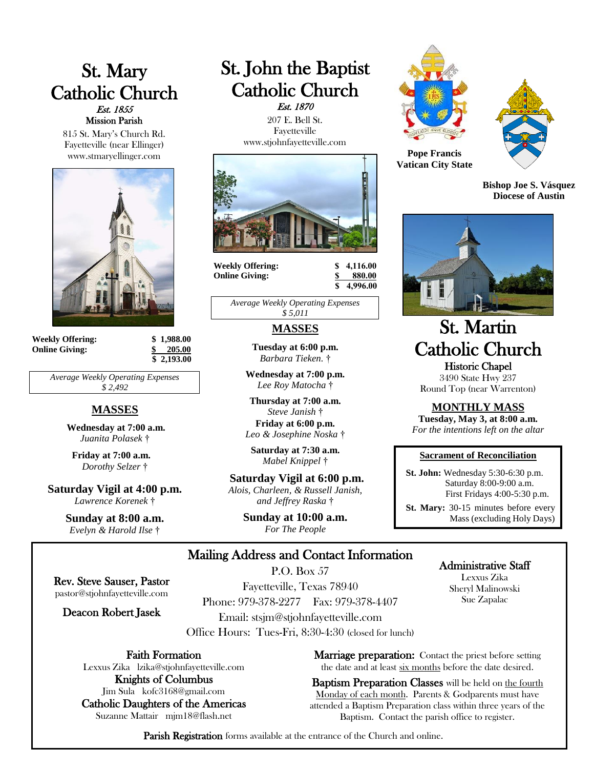# St. Mary Catholic Church Est. 1855 Mission Parish

815 St. Mary's Church Rd. Fayetteville (near Ellinger) www.stmaryellinger.com



**Weekly Offering: \$ 1,988.00 Online Giving: \$ 205.00**

 **\$ 2,193.00**

*Average Weekly Operating Expenses \$ 2,492*

# **MASSES**

**Wednesday at 7:00 a.m.** *Juanita Polasek* †

**Friday at 7:00 a.m.** *Dorothy Selzer* †

**Saturday Vigil at 4:00 p.m.** *Lawrence Korenek* †

> **Sunday at 8:00 a.m.** *Evelyn & Harold Ilse* †

# St. John the Baptist Catholic Church Est. 1870

 207 E. Bell St. Fayetteville www.stjohnfayetteville.com



**Weekly Offering:**  $\begin{array}{ccc} 8 & 4,116.00 \\ \text{Online Giving:} & \text{$} & 880.00 \end{array}$ **Online Giving:** 

 **\$ 4,996.00**

*Average Weekly Operating Expenses \$ 5,011*

## **MASSES**

**Tuesday at 6:00 p.m.** *Barbara Tieken.* †

**Wednesday at 7:00 p.m.** *Lee Roy Matocha* †

**Thursday at 7:00 a.m.** *Steve Janish* † **Friday at 6:00 p.m.**  *Leo & Josephine Noska* †

**Saturday at 7:30 a.m.**  *Mabel Knippel* †

**Saturday Vigil at 6:00 p.m.** *Alois, Charleen, & Russell Janish, and Jeffrey Raska* †

> **Sunday at 10:00 a.m.** *For The People*





**Pope Francis Vatican City State**

**Bishop Joe S. Vásquez Diocese of Austin**



# St. Martin Catholic Church Historic Chapel

3490 State Hwy 237 Round Top (near Warrenton)

**MONTHLY MASS**

**Tuesday, May 3, at 8:00 a.m.** *For the intentions left on the altar*

#### **Sacrament of Reconciliation**

 **St. John:** Wednesday 5:30-6:30 p.m. Saturday 8:00-9:00 a.m. First Fridays 4:00-5:30 p.m.

 **St. Mary:** 30-15 minutes before every Mass (excluding Holy Days)

# Mailing Address and Contact Information

Rev. Steve Sauser, Pastor pastor@stjohnfayetteville.com

Deacon Robert Jasek

P.O. Box 57 Fayetteville, Texas 78940 Phone: 979-378-2277 Fax: 979-378-4407 Email: stsjm@stjohnfayetteville.com Office Hours: Tues-Fri, 8:30-4:30 (closed for lunch)

Faith Formation

Lexxus Zika lzika@stjohnfayetteville.com Knights of Columbus

Jim Sula kofc3168@gmail.com Catholic Daughters of the Americas Suzanne Mattair mjm18@flash.net

**Marriage preparation:** Contact the priest before setting the date and at least six months before the date desired.

Baptism Preparation Classes will be held on the fourth Monday of each month. Parents & Godparents must have attended a Baptism Preparation class within three years of the Baptism. Contact the parish office to register.

Parish Registration forms available at the entrance of the Church and online.

# Administrative Staff

Lexxus Zika Sheryl Malinowski Sue Zapalac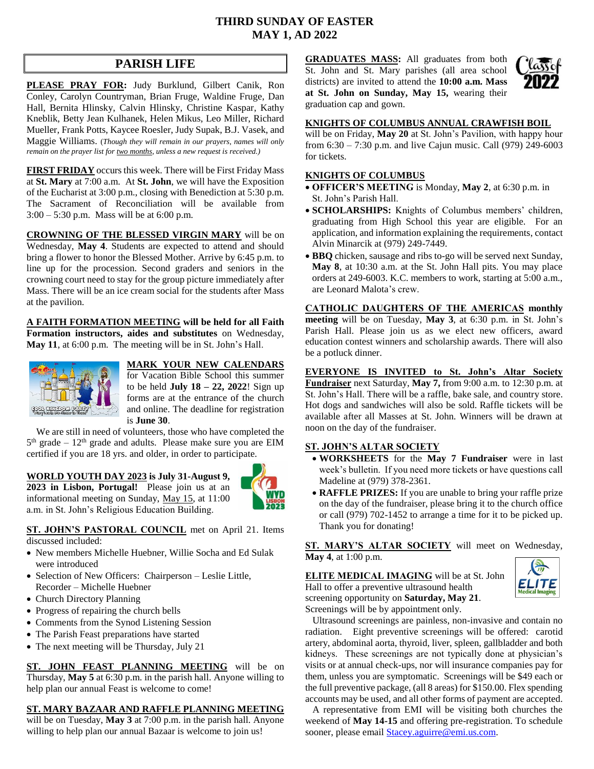# **THIRD SUNDAY OF EASTER MAY 1, AD 2022**

# **PARISH LIFE**

**PLEASE PRAY FOR:** Judy Burklund, Gilbert Canik, Ron Conley, Carolyn Countryman, Brian Fruge, Waldine Fruge, Dan Hall, Bernita Hlinsky, Calvin Hlinsky, Christine Kaspar, Kathy Kneblik, Betty Jean Kulhanek, Helen Mikus, Leo Miller, Richard Mueller, Frank Potts, Kaycee Roesler, Judy Supak, B.J. Vasek, and Maggie Williams. (*Though they will remain in our prayers, names will only remain on the prayer list for two months, unless a new request is received.)*

**FIRST FRIDAY** occurs this week. There will be First Friday Mass at **St. Mary** at 7:00 a.m. At **St. John**, we will have the Exposition of the Eucharist at 3:00 p.m., closing with Benediction at 5:30 p.m. The Sacrament of Reconciliation will be available from 3:00 – 5:30 p.m. Mass will be at 6:00 p.m.

**CROWNING OF THE BLESSED VIRGIN MARY** will be on Wednesday, **May 4**. Students are expected to attend and should bring a flower to honor the Blessed Mother. Arrive by 6:45 p.m. to line up for the procession. Second graders and seniors in the crowning court need to stay for the group picture immediately after Mass. There will be an ice cream social for the students after Mass at the pavilion.

**A FAITH FORMATION MEETING will be held for all Faith Formation instructors, aides and substitutes** on Wednesday, **May 11**, at 6:00 p.m. The meeting will be in St. John's Hall.



# **MARK YOUR NEW CALENDARS**

for Vacation Bible School this summer to be held **July 18 – 22, 2022**! Sign up forms are at the entrance of the church and online. The deadline for registration is **June 30**.

 We are still in need of volunteers, those who have completed the  $5<sup>th</sup>$  grade –  $12<sup>th</sup>$  grade and adults. Please make sure you are EIM certified if you are 18 yrs. and older, in order to participate.

#### **WORLD YOUTH DAY 2023 is July 31-August 9,**

**2023 in Lisbon, Portugal!** Please join us at an informational meeting on Sunday, May 15, at 11:00 a.m. in St. John's Religious Education Building.



**ST. JOHN'S PASTORAL COUNCIL** met on April 21. Items discussed included:

- New members Michelle Huebner, Willie Socha and Ed Sulak were introduced
- Selection of New Officers: Chairperson Leslie Little, Recorder – Michelle Huebner
- Church Directory Planning
- Progress of repairing the church bells
- Comments from the Synod Listening Session
- The Parish Feast preparations have started
- The next meeting will be Thursday, July 21

**ST. JOHN FEAST PLANNING MEETING** will be on Thursday, **May 5** at 6:30 p.m. in the parish hall. Anyone willing to help plan our annual Feast is welcome to come!

#### **ST. MARY BAZAAR AND RAFFLE PLANNING MEETING**

will be on Tuesday, **May 3** at 7:00 p.m. in the parish hall. Anyone willing to help plan our annual Bazaar is welcome to join us!

**GRADUATES MASS:** All graduates from both St. John and St. Mary parishes (all area school districts) are invited to attend the **10:00 a.m. Mass at St. John on Sunday, May 15,** wearing their graduation cap and gown.



#### **KNIGHTS OF COLUMBUS ANNUAL CRAWFISH BOIL**

will be on Friday, May 20 at St. John's Pavilion, with happy hour from 6:30 – 7:30 p.m. and live Cajun music. Call (979) 249-6003 for tickets.

#### **KNIGHTS OF COLUMBUS**

- **OFFICER'S MEETING** is Monday, **May 2**, at 6:30 p.m. in St. John's Parish Hall.
- **SCHOLARSHIPS:** Knights of Columbus members' children, graduating from High School this year are eligible. For an application, and information explaining the requirements, contact Alvin Minarcik at (979) 249-7449.
- **BBQ** chicken, sausage and ribs to-go will be served next Sunday, **May 8**, at 10:30 a.m. at the St. John Hall pits. You may place orders at 249-6003. K.C. members to work, starting at 5:00 a.m., are Leonard Malota's crew.

**CATHOLIC DAUGHTERS OF THE AMERICAS monthly meeting** will be on Tuesday, **May 3**, at 6:30 p.m. in St. John's Parish Hall. Please join us as we elect new officers, award education contest winners and scholarship awards. There will also be a potluck dinner.

**EVERYONE IS INVITED to St. John's Altar Society Fundraiser** next Saturday, **May 7,** from 9:00 a.m. to 12:30 p.m. at St. John's Hall. There will be a raffle, bake sale, and country store. Hot dogs and sandwiches will also be sold. Raffle tickets will be available after all Masses at St. John. Winners will be drawn at noon on the day of the fundraiser.

#### **ST. JOHN'S ALTAR SOCIETY**

- **WORKSHEETS** for the **May 7 Fundraiser** were in last week's bulletin. If you need more tickets or have questions call Madeline at (979) 378-2361.
- **RAFFLE PRIZES:** If you are unable to bring your raffle prize on the day of the fundraiser, please bring it to the church office or call (979) 702-1452 to arrange a time for it to be picked up. Thank you for donating!

**ST. MARY'S ALTAR SOCIETY** will meet on Wednesday, **May 4**, at 1:00 p.m.

**ELITE MEDICAL IMAGING** will be at St. John Hall to offer a preventive ultrasound health screening opportunity on **Saturday, May 21**. Screenings will be by appointment only.



 Ultrasound screenings are painless, non-invasive and contain no radiation. Eight preventive screenings will be offered: carotid artery, abdominal aorta, thyroid, liver, spleen, gallbladder and both kidneys. These screenings are not typically done at physician's visits or at annual check-ups, nor will insurance companies pay for them, unless you are symptomatic. Screenings will be \$49 each or the full preventive package, (all 8 areas) for \$150.00. Flex spending accounts may be used, and all other forms of payment are accepted.

 A representative from EMI will be visiting both churches the weekend of **May 14-15** and offering pre-registration. To schedule sooner, please email **Stacey**.aguirre@emi.us.com.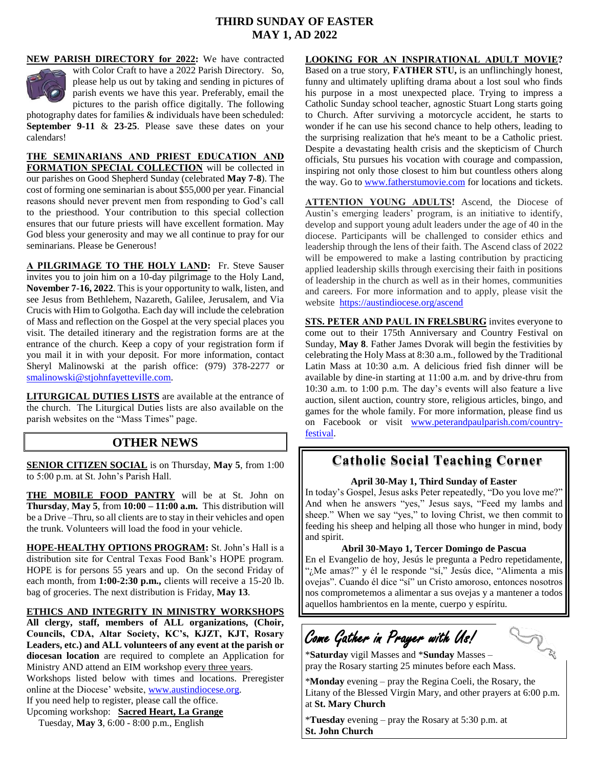# **THIRD SUNDAY OF EASTER MAY 1, AD 2022**

**NEW PARISH DIRECTORY for 2022:** We have contracted



with Color Craft to have a 2022 Parish Directory. So, please help us out by taking and sending in pictures of parish events we have this year. Preferably, email the pictures to the parish office digitally. The following

photography dates for families & individuals have been scheduled: **September 9-11** & **23-25**. Please save these dates on your calendars!

**THE SEMINARIANS AND PRIEST EDUCATION AND FORMATION SPECIAL COLLECTION** will be collected in our parishes on Good Shepherd Sunday (celebrated **May 7-8**). The cost of forming one seminarian is about \$55,000 per year. Financial reasons should never prevent men from responding to God's call to the priesthood. Your contribution to this special collection ensures that our future priests will have excellent formation. May God bless your generosity and may we all continue to pray for our seminarians. Please be Generous!

**A PILGRIMAGE TO THE HOLY LAND:** Fr. Steve Sauser invites you to join him on a 10-day pilgrimage to the Holy Land, **November 7-16, 2022**. This is your opportunity to walk, listen, and see Jesus from Bethlehem, Nazareth, Galilee, Jerusalem, and Via Crucis with Him to Golgotha. Each day will include the celebration of Mass and reflection on the Gospel at the very special places you visit. The detailed itinerary and the registration forms are at the entrance of the church. Keep a copy of your registration form if you mail it in with your deposit. For more information, contact Sheryl Malinowski at the parish office: (979) 378-2277 or [smalinowski@stjohnfayetteville.com.](mailto:smalinowski@stjohnfayetteville.com) 

**LITURGICAL DUTIES LISTS** are available at the entrance of the church. The Liturgical Duties lists are also available on the parish websites on the "Mass Times" page.

# **OTHER NEWS**

**SENIOR CITIZEN SOCIAL** is on Thursday, **May 5**, from 1:00 to 5:00 p.m. at St. John's Parish Hall.

**THE MOBILE FOOD PANTRY** will be at St. John on **Thursday**, **May 5**, from **10:00 – 11:00 a.m.** This distribution will be a Drive –Thru, so all clients are to stay in their vehicles and open the trunk. Volunteers will load the food in your vehicle.

**HOPE-HEALTHY OPTIONS PROGRAM:** St. John's Hall is a distribution site for Central Texas Food Bank's HOPE program. HOPE is for persons 55 years and up. On the second Friday of each month, from **1:00-2:30 p.m.,** clients will receive a 15-20 lb. bag of groceries. The next distribution is Friday, **May 13**.

**ETHICS AND INTEGRITY IN MINISTRY WORKSHOPS All clergy, staff, members of ALL organizations, (Choir, Councils, CDA, Altar Society, KC's, KJZT, KJT, Rosary Leaders, etc.) and ALL volunteers of any event at the parish or diocesan location** are required to complete an Application for Ministry AND attend an EIM workshop every three years. Workshops listed below with times and locations. Preregister

online at the Diocese' website, [www.austindiocese.org.](http://www.austindiocese.org/)

If you need help to register, please call the office.

Upcoming workshop: **Sacred Heart, La Grange** Tuesday, **May 3**, 6:00 - 8:00 p.m., English

#### **LOOKING FOR AN INSPIRATIONAL ADULT MOVIE?**

Based on a true story, **FATHER STU,** is an unflinchingly honest, funny and ultimately uplifting drama about a lost soul who finds his purpose in a most unexpected place. Trying to impress a Catholic Sunday school teacher, agnostic Stuart Long starts going to Church. After surviving a motorcycle accident, he starts to wonder if he can use his second chance to help others, leading to the surprising realization that he's meant to be a Catholic priest. Despite a devastating health crisis and the skepticism of Church officials, Stu pursues his vocation with courage and compassion, inspiring not only those closest to him but countless others along the way. Go to [www.fatherstumovie.com](http://www.fatherstumovie.com/) for locations and tickets.

**ATTENTION YOUNG ADULTS!** Ascend, the Diocese of Austin's emerging leaders' program, is an initiative to identify, develop and support young adult leaders under the age of 40 in the diocese. Participants will be challenged to consider ethics and leadership through the lens of their faith. The Ascend class of 2022 will be empowered to make a lasting contribution by practicing applied leadership skills through exercising their faith in positions of leadership in the church as well as in their homes, communities and careers. For more information and to apply, please visit the website <https://austindiocese.org/ascend>

**STS. PETER AND PAUL IN FRELSBURG** invites everyone to come out to their 175th Anniversary and Country Festival on Sunday, **May 8**. Father James Dvorak will begin the festivities by celebrating the Holy Mass at 8:30 a.m., followed by the Traditional Latin Mass at 10:30 a.m. A delicious fried fish dinner will be available by dine-in starting at 11:00 a.m. and by drive-thru from 10:30 a.m. to 1:00 p.m. The day's events will also feature a live auction, silent auction, country store, religious articles, bingo, and games for the whole family. For more information, please find us on Facebook or visit [www.peterandpaulparish.com/country](http://www.peterandpaulparish.com/country-festival)[festival.](http://www.peterandpaulparish.com/country-festival)

# **Catholic Social Teaching Corner**

#### **April 30-May 1, Third Sunday of Easter**

In today's Gospel, Jesus asks Peter repeatedly, "Do you love me?" And when he answers "yes," Jesus says, "Feed my lambs and sheep." When we say "yes," to loving Christ, we then commit to feeding his sheep and helping all those who hunger in mind, body and spirit.

#### **Abril 30-Mayo 1, Tercer Domingo de Pascua**

En el Evangelio de hoy, Jesús le pregunta a Pedro repetidamente, "¿Me amas?" y él le responde "sí," Jesús dice, "Alimenta a mis ovejas". Cuando él dice "sí" un Cristo amoroso, entonces nosotros nos comprometemos a alimentar a sus ovejas y a mantener a todos aquellos hambrientos en la mente, cuerpo y espíritu.

# Come Gather in Prayer with Us!

**FE** 

\***Saturday** vigil Masses and \***Sunday** Masses – pray the Rosary starting 25 minutes before each Mass.

\***Monday** evening – pray the Regina Coeli, the Rosary, the Litany of the Blessed Virgin Mary, and other prayers at 6:00 p.m. at **St. Mary Church**

\***Tuesday** evening – pray the Rosary at 5:30 p.m. at **St. John Church**